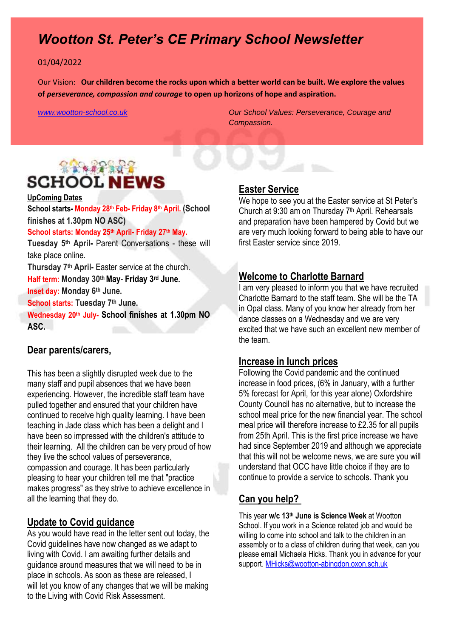# *Wootton St. Peter's CE Primary School Newsletter*

#### 01/04/2022

Our Vision: **Our children become the rocks upon which a better world can be built. We explore the values of** *perseverance, compassion and courage* **to open up horizons of hope and aspiration.** 

*[www.wootton-school.co.uk](http://www.wootton-school.co.uk/) Our School Values: Perseverance, Courage and Compassion.*

# **RACAR ROLL SCHOOL NEWS**

#### **UpComing Dates**

**School starts- Monday 28th Feb- Friday 8th April. (School finishes at 1.30pm NO ASC)**

#### **School starts: Monday 25th April- Friday 27th May.**

**Tuesday 5th April-** Parent Conversations - these will take place online.

**Thursday 7th April-** Easter service at the church.

**Half term: Monday 30thMay**- **Friday 3 rd June.**

**Inset day: Monday 6th June.**

**School starts: Tuesday 7th June.** 

**Wednesday 20th July- School finishes at 1.30pm NO ASC.**

### **Dear parents/carers,**

This has been a slightly disrupted week due to the many staff and pupil absences that we have been experiencing. However, the incredible staff team have pulled together and ensured that your children have continued to receive high quality learning. I have been teaching in Jade class which has been a delight and I have been so impressed with the children's attitude to their learning. All the children can be very proud of how they live the school values of perseverance, compassion and courage. It has been particularly pleasing to hear your children tell me that "practice makes progress" as they strive to achieve excellence in all the learning that they do.

### **Update to Covid guidance**

As you would have read in the letter sent out today, the Covid guidelines have now changed as we adapt to living with Covid. I am awaiting further details and guidance around measures that we will need to be in place in schools. As soon as these are released, I will let you know of any changes that we will be making to the Living with Covid Risk Assessment.

### **Easter Service**

We hope to see you at the Easter service at St Peter's Church at 9:30 am on Thursday 7th April. Rehearsals and preparation have been hampered by Covid but we are very much looking forward to being able to have our first Easter service since 2019.

## **Welcome to Charlotte Barnard**

I am very pleased to inform you that we have recruited Charlotte Barnard to the staff team. She will be the TA in Opal class. Many of you know her already from her dance classes on a Wednesday and we are very excited that we have such an excellent new member of the team.

#### **Increase in lunch prices**

Following the Covid pandemic and the continued increase in food prices, (6% in January, with a further 5% forecast for April, for this year alone) Oxfordshire County Council has no alternative, but to increase the school meal price for the new financial year. The school meal price will therefore increase to £2.35 for all pupils from 25th April. This is the first price increase we have had since September 2019 and although we appreciate that this will not be welcome news, we are sure you will understand that OCC have little choice if they are to continue to provide a service to schools. Thank you

### **Can you help?**

This year **w/c 13th June is Science Week** at Wootton School. If you work in a Science related job and would be willing to come into school and talk to the children in an assembly or to a class of children during that week, can you please email Michaela Hicks. Thank you in advance for your support. [MHicks@wootton-abingdon.oxon.sch.uk](mailto:MHicks@wootton-abingdon.oxon.sch.uk)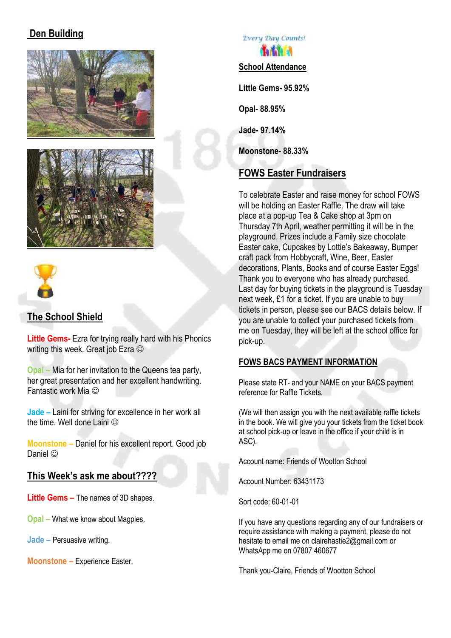# **Den Building**







## **The School Shield**

**Little Gems-** Ezra for trying really hard with his Phonics writing this week. Great job Ezra  $\odot$ 

**Opal –** Mia for her invitation to the Queens tea party, her great presentation and her excellent handwriting. Fantastic work Mia

**Jade –** Laini for striving for excellence in her work all the time. Well done Laini  $\odot$ 

**Moonstone –** Daniel for his excellent report. Good job Daniel ©

## **This Week's ask me about????**

**Little Gems –** The names of 3D shapes.

**Opal –** What we know about Magpies.

**Jade –** Persuasive writing.

**Moonstone –** Experience Easter.

**Every Day Counts!** *<u>La fa fa Fa</u>* **School Attendance Little Gems- 95.92% Opal- 88.95% Jade- 97.14%**

**Moonstone- 88.33%**

# **FOWS Easter Fundraisers**

To celebrate Easter and raise money for school FOWS will be holding an Easter Raffle. The draw will take place at a pop-up Tea & Cake shop at 3pm on Thursday 7th April, weather permitting it will be in the playground. Prizes include a Family size chocolate Easter cake, Cupcakes by Lottie's Bakeaway, Bumper craft pack from Hobbycraft, Wine, Beer, Easter decorations, Plants, Books and of course Easter Eggs! Thank you to everyone who has already purchased. Last day for buying tickets in the playground is Tuesday next week, £1 for a ticket. If you are unable to buy tickets in person, please see our BACS details below. If you are unable to collect your purchased tickets from me on Tuesday, they will be left at the school office for pick-up.

## **FOWS BACS PAYMENT INFORMATION**

Please state RT- and your NAME on your BACS payment reference for Raffle Tickets.

(We will then assign you with the next available raffle tickets in the book. We will give you your tickets from the ticket book at school pick-up or leave in the office if your child is in ASC).

Account name: Friends of Wootton School

Account Number: 63431173

Sort code: 60-01-01

If you have any questions regarding any of our fundraisers or require assistance with making a payment, please do not hesitate to email me on clairehastie2@gmail.com or WhatsApp me on 07807 460677

Thank you-Claire, Friends of Wootton School